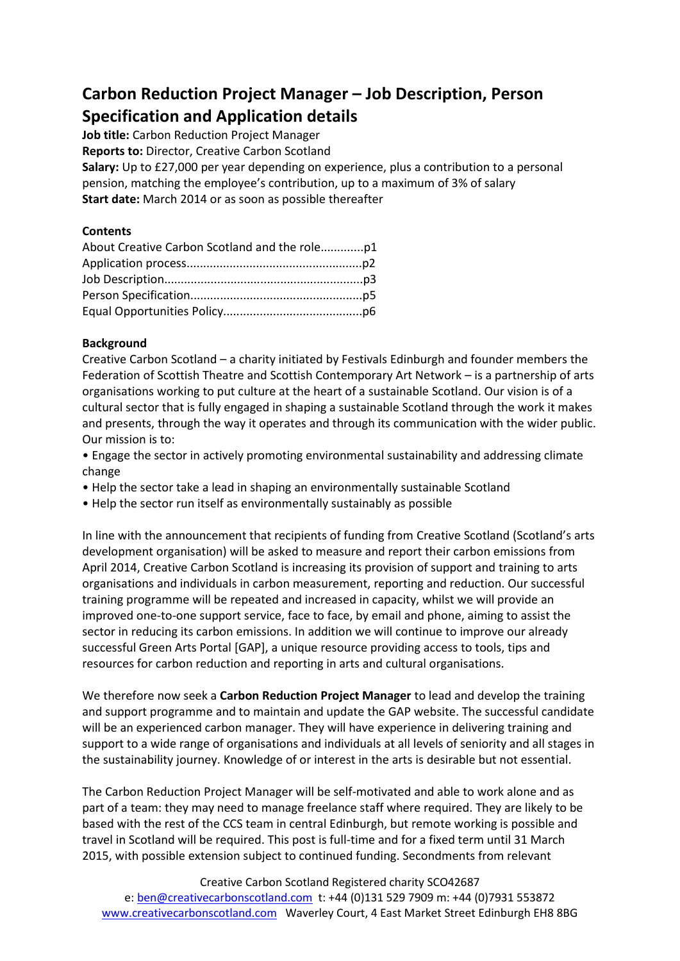# **Carbon Reduction Project Manager – Job Description, Person Specification and Application details**

**Job title:** Carbon Reduction Project Manager

**Reports to:** Director, Creative Carbon Scotland

**Salary:** Up to £27,000 per year depending on experience, plus a contribution to a personal pension, matching the employee's contribution, up to a maximum of 3% of salary **Start date:** March 2014 or as soon as possible thereafter

# **Contents**

# **Background**

Creative Carbon Scotland – a charity initiated by Festivals Edinburgh and founder members the Federation of Scottish Theatre and Scottish Contemporary Art Network – is a partnership of arts organisations working to put culture at the heart of a sustainable Scotland. Our vision is of a cultural sector that is fully engaged in shaping a sustainable Scotland through the work it makes and presents, through the way it operates and through its communication with the wider public. Our mission is to:

• Engage the sector in actively promoting environmental sustainability and addressing climate change

- Help the sector take a lead in shaping an environmentally sustainable Scotland
- Help the sector run itself as environmentally sustainably as possible

In line with the announcement that recipients of funding from Creative Scotland (Scotland's arts development organisation) will be asked to measure and report their carbon emissions from April 2014, Creative Carbon Scotland is increasing its provision of support and training to arts organisations and individuals in carbon measurement, reporting and reduction. Our successful training programme will be repeated and increased in capacity, whilst we will provide an improved one-to-one support service, face to face, by email and phone, aiming to assist the sector in reducing its carbon emissions. In addition we will continue to improve our already successful Green Arts Portal [GAP], a unique resource providing access to tools, tips and resources for carbon reduction and reporting in arts and cultural organisations.

We therefore now seek a **Carbon Reduction Project Manager** to lead and develop the training and support programme and to maintain and update the GAP website. The successful candidate will be an experienced carbon manager. They will have experience in delivering training and support to a wide range of organisations and individuals at all levels of seniority and all stages in the sustainability journey. Knowledge of or interest in the arts is desirable but not essential.

The Carbon Reduction Project Manager will be self-motivated and able to work alone and as part of a team: they may need to manage freelance staff where required. They are likely to be based with the rest of the CCS team in central Edinburgh, but remote working is possible and travel in Scotland will be required. This post is full-time and for a fixed term until 31 March 2015, with possible extension subject to continued funding. Secondments from relevant

Creative Carbon Scotland Registered charity SCO42687 e: [ben@creativecarbonscotland.com](mailto:ben@creativecarbonscotland.com) t: +44 (0)131 529 7909 m: +44 (0)7931 553872 [www.creativecarbonscotland.com](http://www.creativecarbonscotland.com/) Waverley Court, 4 East Market Street Edinburgh EH8 8BG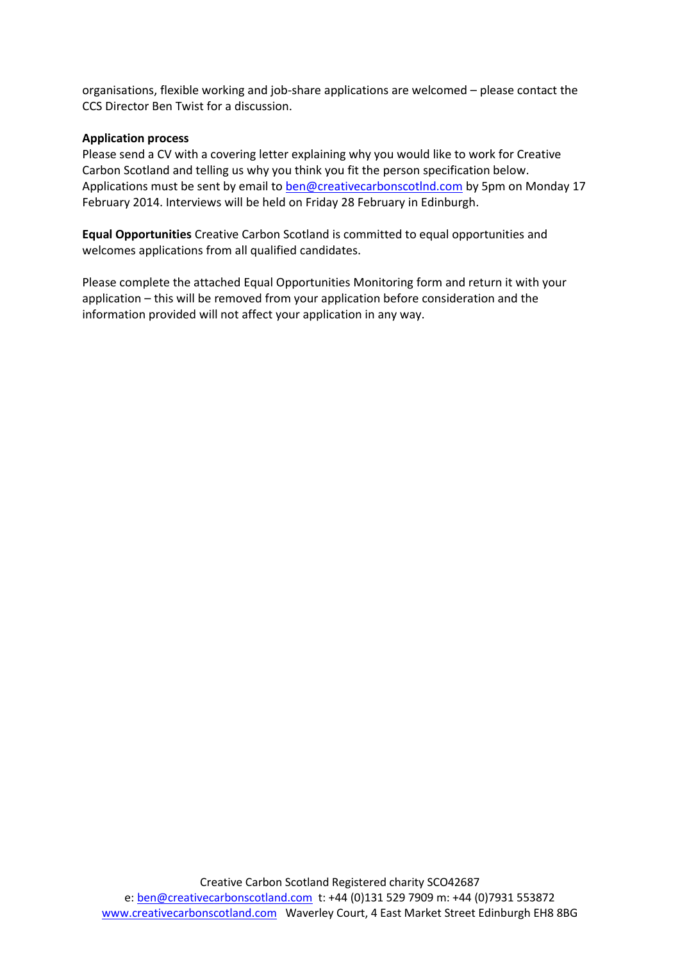organisations, flexible working and job-share applications are welcomed – please contact the CCS Director Ben Twist for a discussion.

#### **Application process**

Please send a CV with a covering letter explaining why you would like to work for Creative Carbon Scotland and telling us why you think you fit the person specification below. Applications must be sent by email to [ben@creativecarbonscotlnd.com](mailto:ben@creativecarbonscotlnd.com) by 5pm on Monday 17 February 2014. Interviews will be held on Friday 28 February in Edinburgh.

**Equal Opportunities** Creative Carbon Scotland is committed to equal opportunities and welcomes applications from all qualified candidates.

Please complete the attached Equal Opportunities Monitoring form and return it with your application – this will be removed from your application before consideration and the information provided will not affect your application in any way.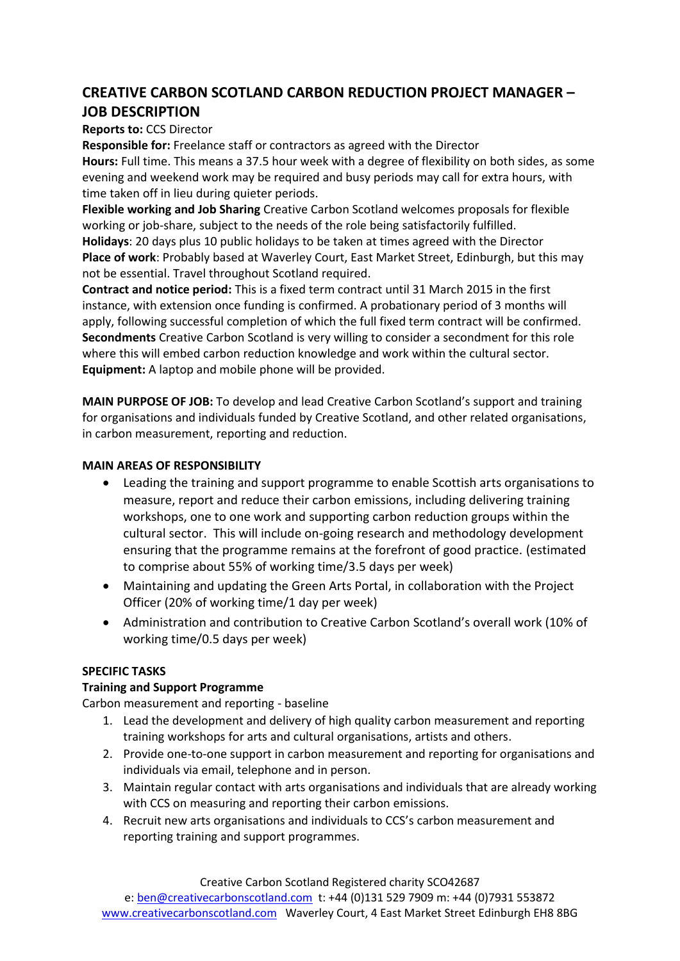# **CREATIVE CARBON SCOTLAND CARBON REDUCTION PROJECT MANAGER – JOB DESCRIPTION**

### **Reports to:** CCS Director

**Responsible for:** Freelance staff or contractors as agreed with the Director **Hours:** Full time. This means a 37.5 hour week with a degree of flexibility on both sides, as some evening and weekend work may be required and busy periods may call for extra hours, with time taken off in lieu during quieter periods.

**Flexible working and Job Sharing** Creative Carbon Scotland welcomes proposals for flexible working or job-share, subject to the needs of the role being satisfactorily fulfilled. **Holidays**: 20 days plus 10 public holidays to be taken at times agreed with the Director **Place of work**: Probably based at Waverley Court, East Market Street, Edinburgh, but this may not be essential. Travel throughout Scotland required.

**Contract and notice period:** This is a fixed term contract until 31 March 2015 in the first instance, with extension once funding is confirmed. A probationary period of 3 months will apply, following successful completion of which the full fixed term contract will be confirmed. **Secondments** Creative Carbon Scotland is very willing to consider a secondment for this role where this will embed carbon reduction knowledge and work within the cultural sector. **Equipment:** A laptop and mobile phone will be provided.

**MAIN PURPOSE OF JOB:** To develop and lead Creative Carbon Scotland's support and training for organisations and individuals funded by Creative Scotland, and other related organisations, in carbon measurement, reporting and reduction.

#### **MAIN AREAS OF RESPONSIBILITY**

- Leading the training and support programme to enable Scottish arts organisations to measure, report and reduce their carbon emissions, including delivering training workshops, one to one work and supporting carbon reduction groups within the cultural sector. This will include on-going research and methodology development ensuring that the programme remains at the forefront of good practice. (estimated to comprise about 55% of working time/3.5 days per week)
- Maintaining and updating the Green Arts Portal, in collaboration with the Project Officer (20% of working time/1 day per week)
- Administration and contribution to Creative Carbon Scotland's overall work (10% of working time/0.5 days per week)

# **SPECIFIC TASKS**

# **Training and Support Programme**

Carbon measurement and reporting - baseline

- 1. Lead the development and delivery of high quality carbon measurement and reporting training workshops for arts and cultural organisations, artists and others.
- 2. Provide one-to-one support in carbon measurement and reporting for organisations and individuals via email, telephone and in person.
- 3. Maintain regular contact with arts organisations and individuals that are already working with CCS on measuring and reporting their carbon emissions.
- 4. Recruit new arts organisations and individuals to CCS's carbon measurement and reporting training and support programmes.

Creative Carbon Scotland Registered charity SCO42687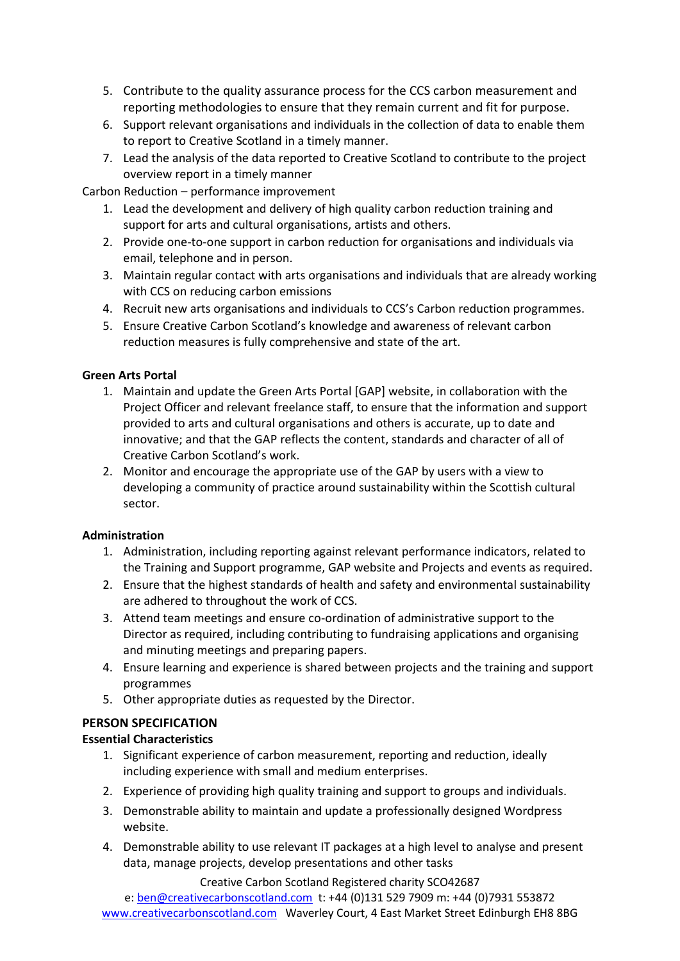- 5. Contribute to the quality assurance process for the CCS carbon measurement and reporting methodologies to ensure that they remain current and fit for purpose.
- 6. Support relevant organisations and individuals in the collection of data to enable them to report to Creative Scotland in a timely manner.
- 7. Lead the analysis of the data reported to Creative Scotland to contribute to the project overview report in a timely manner

Carbon Reduction – performance improvement

- 1. Lead the development and delivery of high quality carbon reduction training and support for arts and cultural organisations, artists and others.
- 2. Provide one-to-one support in carbon reduction for organisations and individuals via email, telephone and in person.
- 3. Maintain regular contact with arts organisations and individuals that are already working with CCS on reducing carbon emissions
- 4. Recruit new arts organisations and individuals to CCS's Carbon reduction programmes.
- 5. Ensure Creative Carbon Scotland's knowledge and awareness of relevant carbon reduction measures is fully comprehensive and state of the art.

# **Green Arts Portal**

- 1. Maintain and update the Green Arts Portal [GAP] website, in collaboration with the Project Officer and relevant freelance staff, to ensure that the information and support provided to arts and cultural organisations and others is accurate, up to date and innovative; and that the GAP reflects the content, standards and character of all of Creative Carbon Scotland's work.
- 2. Monitor and encourage the appropriate use of the GAP by users with a view to developing a community of practice around sustainability within the Scottish cultural sector.

#### **Administration**

- 1. Administration, including reporting against relevant performance indicators, related to the Training and Support programme, GAP website and Projects and events as required.
- 2. Ensure that the highest standards of health and safety and environmental sustainability are adhered to throughout the work of CCS.
- 3. Attend team meetings and ensure co-ordination of administrative support to the Director as required, including contributing to fundraising applications and organising and minuting meetings and preparing papers.
- 4. Ensure learning and experience is shared between projects and the training and support programmes
- 5. Other appropriate duties as requested by the Director.

# **PERSON SPECIFICATION**

# **Essential Characteristics**

- 1. Significant experience of carbon measurement, reporting and reduction, ideally including experience with small and medium enterprises.
- 2. Experience of providing high quality training and support to groups and individuals.
- 3. Demonstrable ability to maintain and update a professionally designed Wordpress website.
- 4. Demonstrable ability to use relevant IT packages at a high level to analyse and present data, manage projects, develop presentations and other tasks

Creative Carbon Scotland Registered charity SCO42687

e: [ben@creativecarbonscotland.com](mailto:ben@creativecarbonscotland.com) t: +44 (0)131 529 7909 m: +44 (0)7931 553872 [www.creativecarbonscotland.com](http://www.creativecarbonscotland.com/) Waverley Court, 4 East Market Street Edinburgh EH8 8BG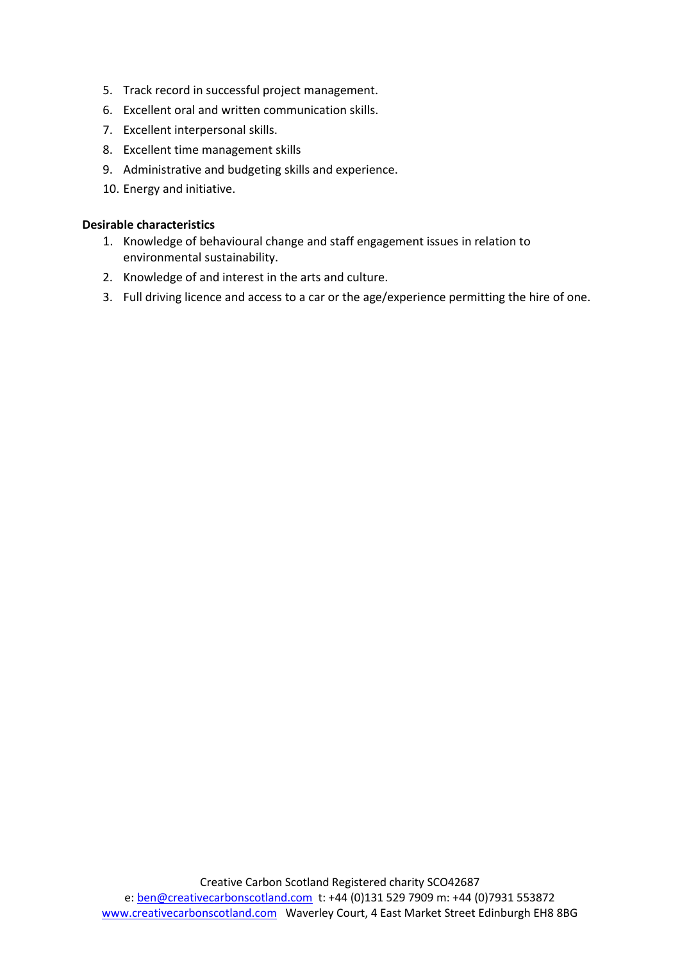- 5. Track record in successful project management.
- 6. Excellent oral and written communication skills.
- 7. Excellent interpersonal skills.
- 8. Excellent time management skills
- 9. Administrative and budgeting skills and experience.
- 10. Energy and initiative.

#### **Desirable characteristics**

- 1. Knowledge of behavioural change and staff engagement issues in relation to environmental sustainability.
- 2. Knowledge of and interest in the arts and culture.
- 3. Full driving licence and access to a car or the age/experience permitting the hire of one.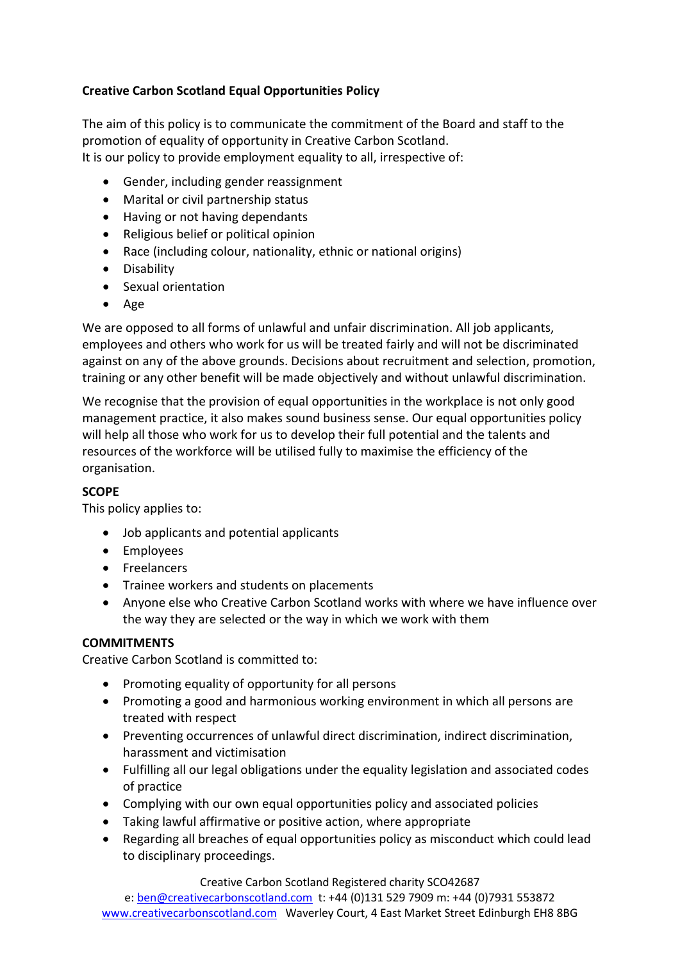# **Creative Carbon Scotland Equal Opportunities Policy**

The aim of this policy is to communicate the commitment of the Board and staff to the promotion of equality of opportunity in Creative Carbon Scotland. It is our policy to provide employment equality to all, irrespective of:

- Gender, including gender reassignment
- Marital or civil partnership status
- Having or not having dependants
- Religious belief or political opinion
- Race (including colour, nationality, ethnic or national origins)
- **•** Disability
- Sexual orientation
- Age

We are opposed to all forms of unlawful and unfair discrimination. All job applicants, employees and others who work for us will be treated fairly and will not be discriminated against on any of the above grounds. Decisions about recruitment and selection, promotion, training or any other benefit will be made objectively and without unlawful discrimination.

We recognise that the provision of equal opportunities in the workplace is not only good management practice, it also makes sound business sense. Our equal opportunities policy will help all those who work for us to develop their full potential and the talents and resources of the workforce will be utilised fully to maximise the efficiency of the organisation.

# **SCOPE**

This policy applies to:

- Job applicants and potential applicants
- Employees
- Freelancers
- Trainee workers and students on placements
- Anyone else who Creative Carbon Scotland works with where we have influence over the way they are selected or the way in which we work with them

# **COMMITMENTS**

Creative Carbon Scotland is committed to:

- Promoting equality of opportunity for all persons
- Promoting a good and harmonious working environment in which all persons are treated with respect
- Preventing occurrences of unlawful direct discrimination, indirect discrimination, harassment and victimisation
- Fulfilling all our legal obligations under the equality legislation and associated codes of practice
- Complying with our own equal opportunities policy and associated policies
- Taking lawful affirmative or positive action, where appropriate
- Regarding all breaches of equal opportunities policy as misconduct which could lead to disciplinary proceedings.

Creative Carbon Scotland Registered charity SCO42687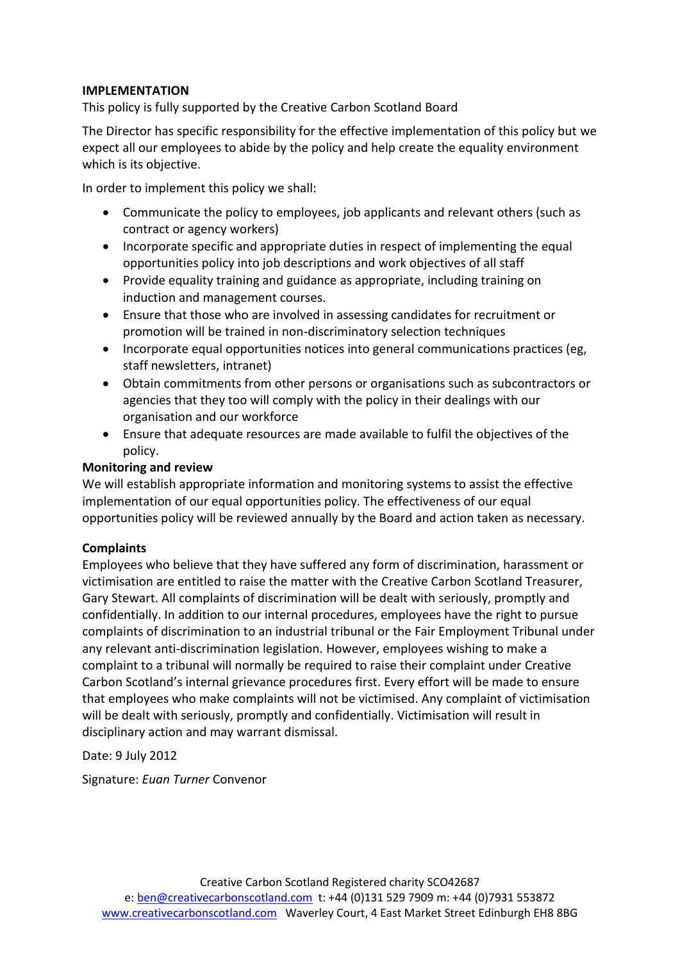# **IMPLEMENTATION**

This policy is fully supported by the Creative Carbon Scotland Board

The Director has specific responsibility for the effective implementation of this policy but we expect all our employees to abide by the policy and help create the equality environment which is its objective.

In order to implement this policy we shall:

- Communicate the policy to employees, job applicants and relevant others (such as contract or agency workers)
- Incorporate specific and appropriate duties in respect of implementing the equal opportunities policy into job descriptions and work objectives of all staff
- Provide equality training and guidance as appropriate, including training on induction and management courses.
- Ensure that those who are involved in assessing candidates for recruitment or promotion will be trained in non-discriminatory selection techniques
- Incorporate equal opportunities notices into general communications practices (eg, staff newsletters, intranet)
- Obtain commitments from other persons or organisations such as subcontractors or agencies that they too will comply with the policy in their dealings with our organisation and our workforce
- Ensure that adequate resources are made available to fulfil the objectives of the policy.

# **Monitoring and review**

We will establish appropriate information and monitoring systems to assist the effective implementation of our equal opportunities policy. The effectiveness of our equal opportunities policy will be reviewed annually by the Board and action taken as necessary.

#### **Complaints**

Employees who believe that they have suffered any form of discrimination, harassment or victimisation are entitled to raise the matter with the Creative Carbon Scotland Treasurer, Gary Stewart. All complaints of discrimination will be dealt with seriously, promptly and confidentially. In addition to our internal procedures, employees have the right to pursue complaints of discrimination to an industrial tribunal or the Fair Employment Tribunal under any relevant anti-discrimination legislation. However, employees wishing to make a complaint to a tribunal will normally be required to raise their complaint under Creative Carbon Scotland's internal grievance procedures first. Every effort will be made to ensure that employees who make complaints will not be victimised. Any complaint of victimisation will be dealt with seriously, promptly and confidentially. Victimisation will result in disciplinary action and may warrant dismissal.

Date: 9 July 2012

Signature: *Euan Turner* Convenor